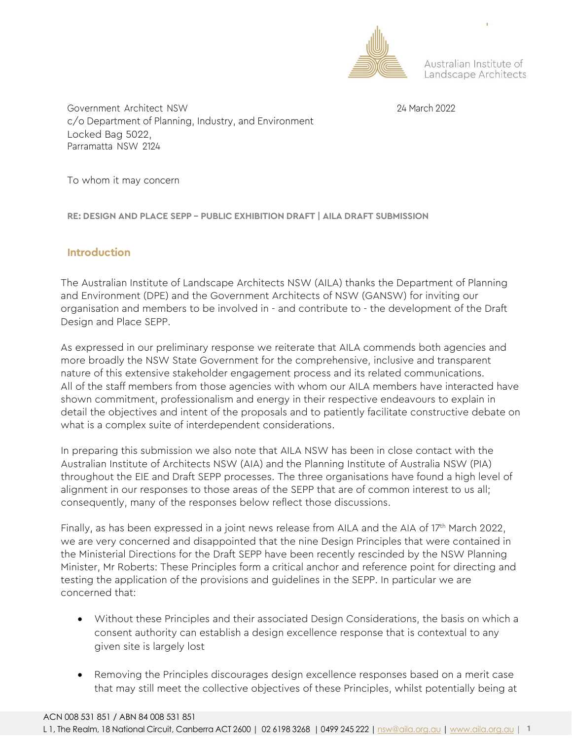

Australian Institute of Landscape Architects

Government Architect NSW 24 March 2022 c/o Department of Planning, Industry, and Environment Locked Bag 5022, Parramatta NSW 2124

To whom it may concern

**RE: DESIGN AND PLACE SEPP – PUBLIC EXHIBITION DRAFT | AILA DRAFT SUBMISSION**

# **Introduction**

The Australian Institute of Landscape Architects NSW (AILA) thanks the Department of Planning and Environment (DPE) and the Government Architects of NSW (GANSW) for inviting our organisation and members to be involved in - and contribute to - the development of the Draft Design and Place SEPP.

As expressed in our preliminary response we reiterate that AILA commends both agencies and more broadly the NSW State Government for the comprehensive, inclusive and transparent nature of this extensive stakeholder engagement process and its related communications. All of the staff members from those agencies with whom our AILA members have interacted have shown commitment, professionalism and energy in their respective endeavours to explain in detail the objectives and intent of the proposals and to patiently facilitate constructive debate on what is a complex suite of interdependent considerations.

In preparing this submission we also note that AILA NSW has been in close contact with the Australian Institute of Architects NSW (AIA) and the Planning Institute of Australia NSW (PIA) throughout the EIE and Draft SEPP processes. The three organisations have found a high level of alignment in our responses to those areas of the SEPP that are of common interest to us all; consequently, many of the responses below reflect those discussions.

Finally, as has been expressed in a joint news release from AILA and the AIA of 17<sup>th</sup> March 2022, we are very concerned and disappointed that the nine Design Principles that were contained in the Ministerial Directions for the Draft SEPP have been recently rescinded by the NSW Planning Minister, Mr Roberts: These Principles form a critical anchor and reference point for directing and testing the application of the provisions and guidelines in the SEPP. In particular we are concerned that:

- Without these Principles and their associated Design Considerations, the basis on which a consent authority can establish a design excellence response that is contextual to any given site is largely lost
- Removing the Principles discourages design excellence responses based on a merit case that may still meet the collective objectives of these Principles, whilst potentially being at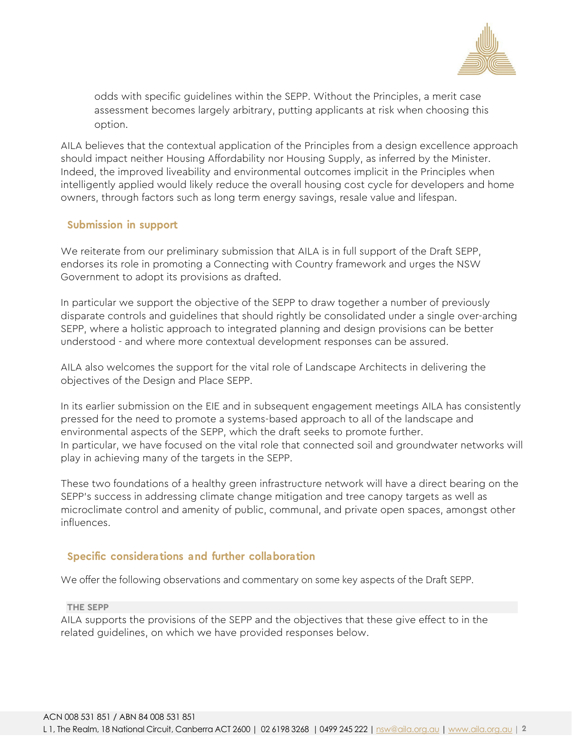

odds with specific guidelines within the SEPP. Without the Principles, a merit case assessment becomes largely arbitrary, putting applicants at risk when choosing this option.

AILA believes that the contextual application of the Principles from a design excellence approach should impact neither Housing Affordability nor Housing Supply, as inferred by the Minister. Indeed, the improved liveability and environmental outcomes implicit in the Principles when intelligently applied would likely reduce the overall housing cost cycle for developers and home owners, through factors such as long term energy savings, resale value and lifespan.

# **Submission in support**

We reiterate from our preliminary submission that AILA is in full support of the Draft SEPP, endorses its role in promoting a Connecting with Country framework and urges the NSW Government to adopt its provisions as drafted.

In particular we support the objective of the SEPP to draw together a number of previously disparate controls and guidelines that should rightly be consolidated under a single over-arching SEPP, where a holistic approach to integrated planning and design provisions can be better understood - and where more contextual development responses can be assured.

AILA also welcomes the support for the vital role of Landscape Architects in delivering the objectives of the Design and Place SEPP.

In its earlier submission on the EIE and in subsequent engagement meetings AILA has consistently pressed for the need to promote a systems-based approach to all of the landscape and environmental aspects of the SEPP, which the draft seeks to promote further. In particular, we have focused on the vital role that connected soil and groundwater networks will play in achieving many of the targets in the SEPP.

These two foundations of a healthy green infrastructure network will have a direct bearing on the SEPP's success in addressing climate change mitigation and tree canopy targets as well as microclimate control and amenity of public, communal, and private open spaces, amongst other influences.

# **Specific considerations and further collaboration**

We offer the following observations and commentary on some key aspects of the Draft SEPP.

**THE SEPP**

AILA supports the provisions of the SEPP and the objectives that these give effect to in the related guidelines, on which we have provided responses below.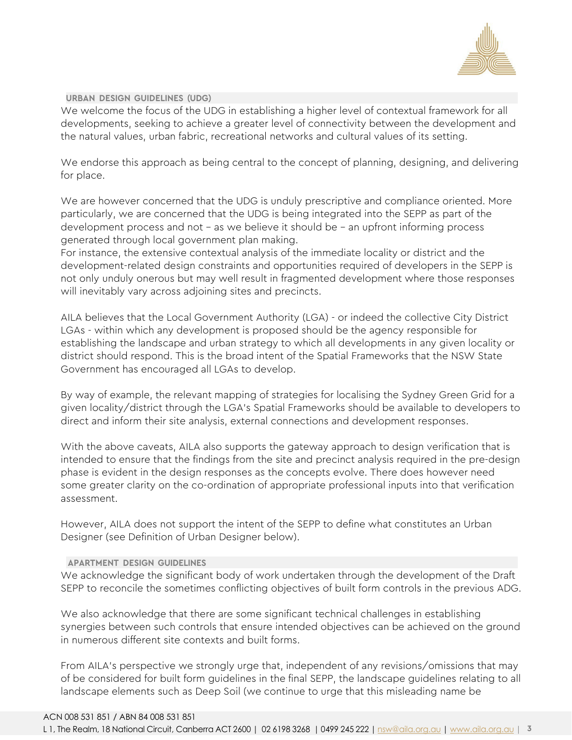

### **URBAN DESIGN GUIDELINES (UDG)**

We welcome the focus of the UDG in establishing a higher level of contextual framework for all developments, seeking to achieve a greater level of connectivity between the development and the natural values, urban fabric, recreational networks and cultural values of its setting.

We endorse this approach as being central to the concept of planning, designing, and delivering for place.

We are however concerned that the UDG is unduly prescriptive and compliance oriented. More particularly, we are concerned that the UDG is being integrated into the SEPP as part of the development process and not – as we believe it should be – an upfront informing process generated through local government plan making.

For instance, the extensive contextual analysis of the immediate locality or district and the development-related design constraints and opportunities required of developers in the SEPP is not only unduly onerous but may well result in fragmented development where those responses will inevitably vary across adjoining sites and precincts.

AILA believes that the Local Government Authority (LGA) - or indeed the collective City District LGAs - within which any development is proposed should be the agency responsible for establishing the landscape and urban strategy to which all developments in any given locality or district should respond. This is the broad intent of the Spatial Frameworks that the NSW State Government has encouraged all LGAs to develop.

By way of example, the relevant mapping of strategies for localising the Sydney Green Grid for a given locality/district through the LGA's Spatial Frameworks should be available to developers to direct and inform their site analysis, external connections and development responses.

With the above caveats, AILA also supports the gateway approach to design verification that is intended to ensure that the findings from the site and precinct analysis required in the pre-design phase is evident in the design responses as the concepts evolve. There does however need some greater clarity on the co-ordination of appropriate professional inputs into that verification assessment.

However, AILA does not support the intent of the SEPP to define what constitutes an Urban Designer (see Definition of Urban Designer below).

## **APARTMENT DESIGN GUIDELINES**

We acknowledge the significant body of work undertaken through the development of the Draft SEPP to reconcile the sometimes conflicting objectives of built form controls in the previous ADG.

We also acknowledge that there are some significant technical challenges in establishing synergies between such controls that ensure intended objectives can be achieved on the ground in numerous different site contexts and built forms.

From AILA's perspective we strongly urge that, independent of any revisions/omissions that may of be considered for built form guidelines in the final SEPP, the landscape guidelines relating to all landscape elements such as Deep Soil (we continue to urge that this misleading name be

#### ACN 008 531 851 / ABN 84 008 531 851

L 1, The Realm, 18 National Circuit, Canberra ACT 2600 | 02 6198 3268 | 0499 245 222 | [nsw@aila.org.au](mailto:nsw@aila.org.au) | [www.aila.org.au](http://www.aila.org.au/) | **3**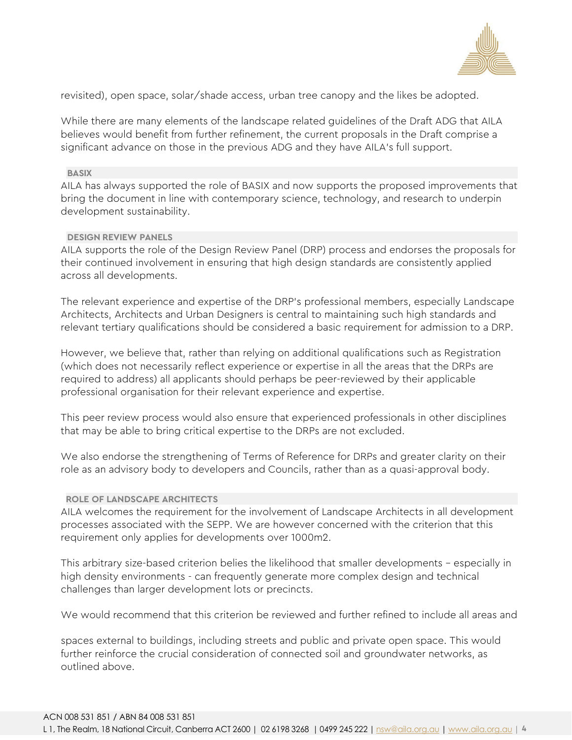

revisited), open space, solar/shade access, urban tree canopy and the likes be adopted.

While there are many elements of the landscape related guidelines of the Draft ADG that AILA believes would benefit from further refinement, the current proposals in the Draft comprise a significant advance on those in the previous ADG and they have AILA's full support.

### **BASIX**

AILA has always supported the role of BASIX and now supports the proposed improvements that bring the document in line with contemporary science, technology, and research to underpin development sustainability.

### **DESIGN REVIEW PANELS**

AILA supports the role of the Design Review Panel (DRP) process and endorses the proposals for their continued involvement in ensuring that high design standards are consistently applied across all developments.

The relevant experience and expertise of the DRP's professional members, especially Landscape Architects, Architects and Urban Designers is central to maintaining such high standards and relevant tertiary qualifications should be considered a basic requirement for admission to a DRP.

However, we believe that, rather than relying on additional qualifications such as Registration (which does not necessarily reflect experience or expertise in all the areas that the DRPs are required to address) all applicants should perhaps be peer-reviewed by their applicable professional organisation for their relevant experience and expertise.

This peer review process would also ensure that experienced professionals in other disciplines that may be able to bring critical expertise to the DRPs are not excluded.

We also endorse the strengthening of Terms of Reference for DRPs and greater clarity on their role as an advisory body to developers and Councils, rather than as a quasi-approval body.

#### **ROLE OF LANDSCAPE ARCHITECTS**

AILA welcomes the requirement for the involvement of Landscape Architects in all development processes associated with the SEPP. We are however concerned with the criterion that this requirement only applies for developments over 1000m2.

This arbitrary size-based criterion belies the likelihood that smaller developments – especially in high density environments - can frequently generate more complex design and technical challenges than larger development lots or precincts.

We would recommend that this criterion be reviewed and further refined to include all areas and

spaces external to buildings, including streets and public and private open space. This would further reinforce the crucial consideration of connected soil and groundwater networks, as outlined above.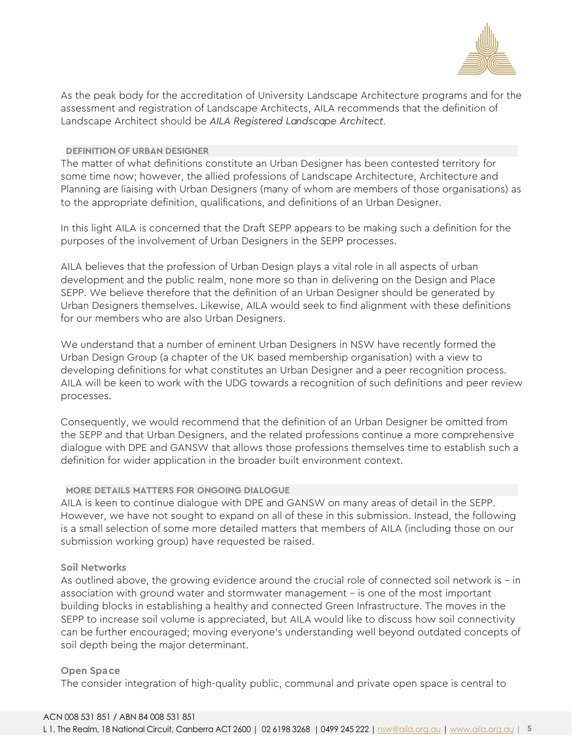

As the peak body for the accreditation of University Landscape Architecture programs and for the assessment and registration of Landscape Architects, AILA recommends that the definition of Landscape Architect should be *AILA Registered Landscape Architect*.

## **DEFINITION OF URBAN DESIGNER**

The matter of what definitions constitute an Urban Designer has been contested territory for some time now; however, the allied professions of Landscape Architecture, Architecture and Planning are liaising with Urban Designers (many of whom are members of those organisations) as to the appropriate definition, qualifications, and definitions of an Urban Designer.

In this light AILA is concerned that the Draft SEPP appears to be making such a definition for the purposes of the involvement of Urban Designers in the SEPP processes.

AILA believes that the profession of Urban Design plays a vital role in all aspects of urban development and the public realm, none more so than in delivering on the Design and Place SEPP. We believe therefore that the definition of an Urban Designer should be generated by Urban Designers themselves. Likewise, AILA would seek to find alignment with these definitions for our members who are also Urban Designers.

We understand that a number of eminent Urban Designers in NSW have recently formed the Urban Design Group (a chapter of the UK based membership organisation) with a view to developing definitions for what constitutes an Urban Designer and a peer recognition process. AILA will be keen to work with the UDG towards a recognition of such definitions and peer review processes.

Consequently, we would recommend that the definition of an Urban Designer be omitted from the SEPP and that Urban Designers, and the related professions continue a more comprehensive dialogue with DPE and GANSW that allows those professions themselves time to establish such a definition for wider application in the broader built environment context.

# **MORE DETAILS MATTERS FOR ONGOING DIALOGUE**

AILA is keen to continue dialogue with DPE and GANSW on many areas of detail in the SEPP. However, we have not sought to expand on all of these in this submission. Instead, the following is a small selection of some more detailed matters that members of AILA (including those on our submission working group) have requested be raised.

## **Soil Networks**

As outlined above, the growing evidence around the crucial role of connected soil network is – in association with ground water and stormwater management – is one of the most important building blocks in establishing a healthy and connected Green Infrastructure. The moves in the SEPP to increase soil volume is appreciated, but AILA would like to discuss how soil connectivity can be further encouraged; moving everyone's understanding well beyond outdated concepts of soil depth being the major determinant.

#### **Open Space**

The consider integration of high-quality public, communal and private open space is central to

#### ACN 008 531 851 / ABN 84 008 531 851

L 1, The Realm, 18 National Circuit, Canberra ACT 2600 | 02 6198 3268 | 0499 245 222 | [nsw@aila.org.au](mailto:nsw@aila.org.au) | [www.aila.org.au](http://www.aila.org.au/) | **5**